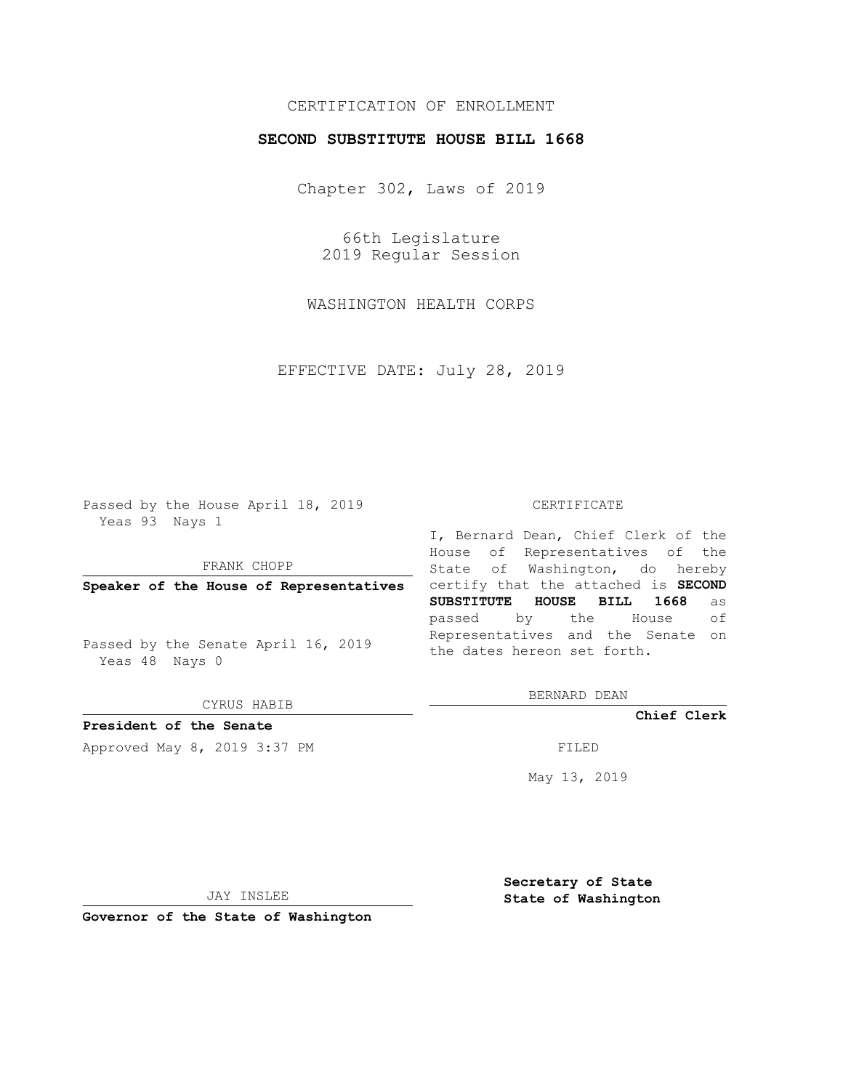### CERTIFICATION OF ENROLLMENT

### **SECOND SUBSTITUTE HOUSE BILL 1668**

Chapter 302, Laws of 2019

66th Legislature 2019 Regular Session

WASHINGTON HEALTH CORPS

EFFECTIVE DATE: July 28, 2019

Passed by the House April 18, 2019 Yeas 93 Nays 1

FRANK CHOPP

**Speaker of the House of Representatives**

Passed by the Senate April 16, 2019 Yeas 48 Nays 0

CYRUS HABIB

# **President of the Senate**

Approved May 8, 2019 3:37 PM

#### CERTIFICATE

I, Bernard Dean, Chief Clerk of the House of Representatives of the State of Washington, do hereby certify that the attached is **SECOND SUBSTITUTE HOUSE BILL 1668** as passed by the House of Representatives and the Senate on the dates hereon set forth.

BERNARD DEAN

**Chief Clerk**

May 13, 2019

JAY INSLEE

**Governor of the State of Washington**

**Secretary of State State of Washington**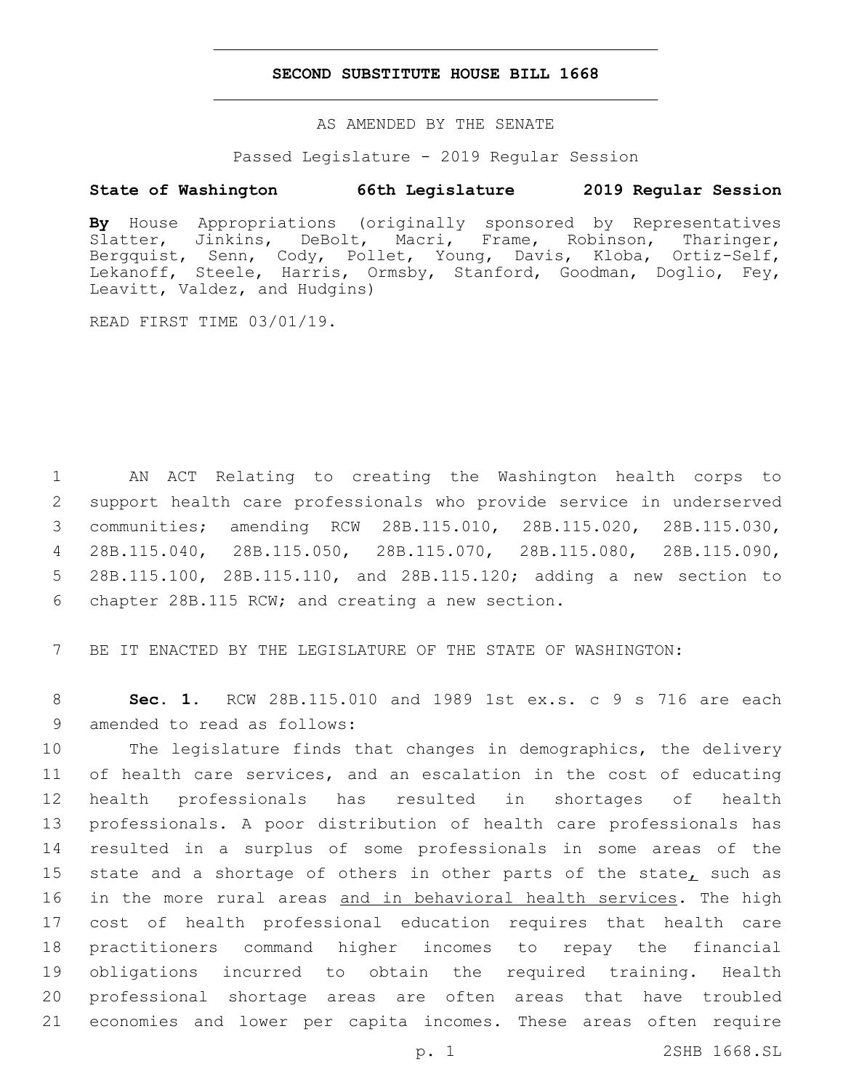#### **SECOND SUBSTITUTE HOUSE BILL 1668**

AS AMENDED BY THE SENATE

Passed Legislature - 2019 Regular Session

# **State of Washington 66th Legislature 2019 Regular Session**

**By** House Appropriations (originally sponsored by Representatives Slatter, Jinkins, DeBolt, Macri, Frame, Robinson, Tharinger, Bergquist, Senn, Cody, Pollet, Young, Davis, Kloba, Ortiz-Self, Lekanoff, Steele, Harris, Ormsby, Stanford, Goodman, Doglio, Fey, Leavitt, Valdez, and Hudgins)

READ FIRST TIME 03/01/19.

 AN ACT Relating to creating the Washington health corps to support health care professionals who provide service in underserved communities; amending RCW 28B.115.010, 28B.115.020, 28B.115.030, 28B.115.040, 28B.115.050, 28B.115.070, 28B.115.080, 28B.115.090, 28B.115.100, 28B.115.110, and 28B.115.120; adding a new section to 6 chapter 28B.115 RCW; and creating a new section.

7 BE IT ENACTED BY THE LEGISLATURE OF THE STATE OF WASHINGTON:

8 **Sec. 1.** RCW 28B.115.010 and 1989 1st ex.s. c 9 s 716 are each 9 amended to read as follows:

 The legislature finds that changes in demographics, the delivery 11 of health care services, and an escalation in the cost of educating health professionals has resulted in shortages of health professionals. A poor distribution of health care professionals has resulted in a surplus of some professionals in some areas of the 15 state and a shortage of others in other parts of the state, such as 16 in the more rural areas and in behavioral health services. The high cost of health professional education requires that health care practitioners command higher incomes to repay the financial obligations incurred to obtain the required training. Health professional shortage areas are often areas that have troubled economies and lower per capita incomes. These areas often require

p. 1 2SHB 1668.SL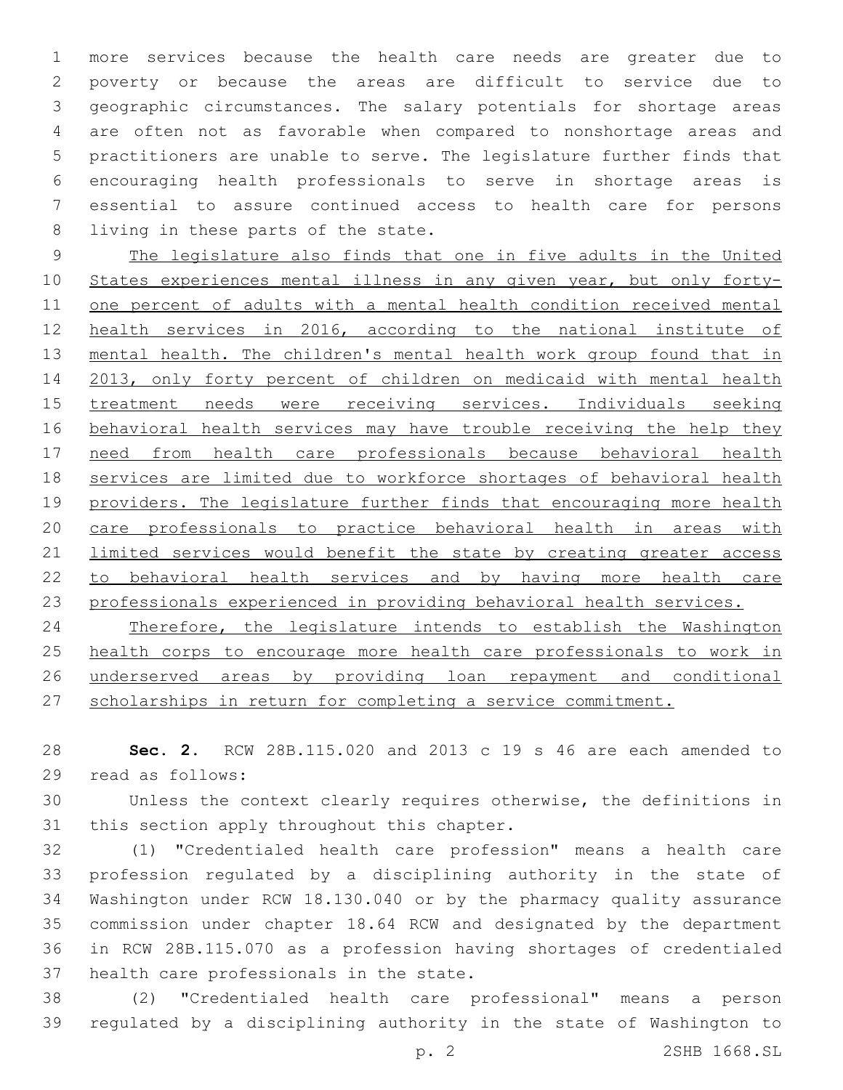more services because the health care needs are greater due to poverty or because the areas are difficult to service due to geographic circumstances. The salary potentials for shortage areas are often not as favorable when compared to nonshortage areas and practitioners are unable to serve. The legislature further finds that encouraging health professionals to serve in shortage areas is essential to assure continued access to health care for persons 8 living in these parts of the state.

 The legislature also finds that one in five adults in the United States experiences mental illness in any given year, but only forty- one percent of adults with a mental health condition received mental health services in 2016, according to the national institute of mental health. The children's mental health work group found that in 2013, only forty percent of children on medicaid with mental health treatment needs were receiving services. Individuals seeking behavioral health services may have trouble receiving the help they need from health care professionals because behavioral health services are limited due to workforce shortages of behavioral health 19 providers. The legislature further finds that encouraging more health care professionals to practice behavioral health in areas with 21 limited services would benefit the state by creating greater access to behavioral health services and by having more health care professionals experienced in providing behavioral health services.

 Therefore, the legislature intends to establish the Washington health corps to encourage more health care professionals to work in underserved areas by providing loan repayment and conditional 27 scholarships in return for completing a service commitment.

 **Sec. 2.** RCW 28B.115.020 and 2013 c 19 s 46 are each amended to 29 read as follows:

 Unless the context clearly requires otherwise, the definitions in 31 this section apply throughout this chapter.

 (1) "Credentialed health care profession" means a health care profession regulated by a disciplining authority in the state of Washington under RCW 18.130.040 or by the pharmacy quality assurance commission under chapter 18.64 RCW and designated by the department in RCW 28B.115.070 as a profession having shortages of credentialed 37 health care professionals in the state.

 (2) "Credentialed health care professional" means a person regulated by a disciplining authority in the state of Washington to

p. 2 2SHB 1668.SL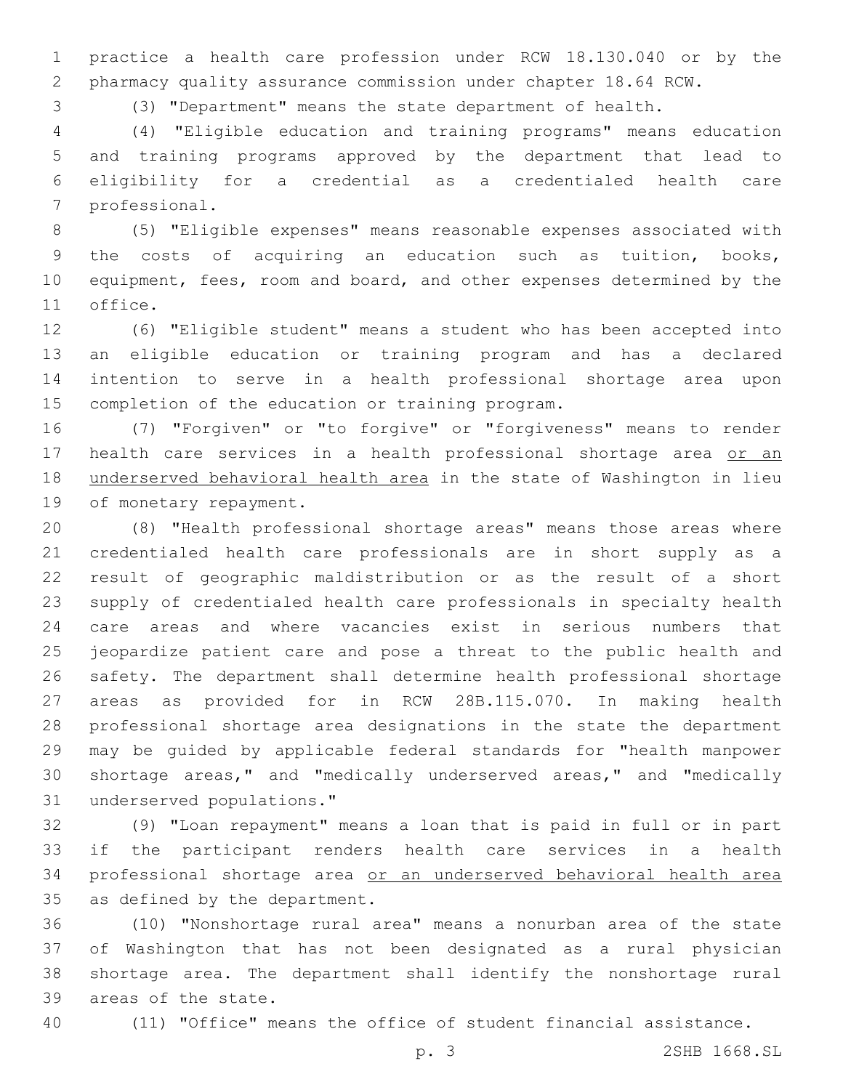practice a health care profession under RCW 18.130.040 or by the pharmacy quality assurance commission under chapter 18.64 RCW.

(3) "Department" means the state department of health.

 (4) "Eligible education and training programs" means education and training programs approved by the department that lead to eligibility for a credential as a credentialed health care 7 professional.

 (5) "Eligible expenses" means reasonable expenses associated with the costs of acquiring an education such as tuition, books, 10 equipment, fees, room and board, and other expenses determined by the 11 office.

 (6) "Eligible student" means a student who has been accepted into an eligible education or training program and has a declared intention to serve in a health professional shortage area upon 15 completion of the education or training program.

 (7) "Forgiven" or "to forgive" or "forgiveness" means to render 17 health care services in a health professional shortage area or an underserved behavioral health area in the state of Washington in lieu 19 of monetary repayment.

 (8) "Health professional shortage areas" means those areas where credentialed health care professionals are in short supply as a result of geographic maldistribution or as the result of a short supply of credentialed health care professionals in specialty health care areas and where vacancies exist in serious numbers that jeopardize patient care and pose a threat to the public health and safety. The department shall determine health professional shortage areas as provided for in RCW 28B.115.070. In making health professional shortage area designations in the state the department may be guided by applicable federal standards for "health manpower shortage areas," and "medically underserved areas," and "medically 31 underserved populations."

 (9) "Loan repayment" means a loan that is paid in full or in part if the participant renders health care services in a health professional shortage area or an underserved behavioral health area 35 as defined by the department.

 (10) "Nonshortage rural area" means a nonurban area of the state of Washington that has not been designated as a rural physician shortage area. The department shall identify the nonshortage rural 39 areas of the state.

(11) "Office" means the office of student financial assistance.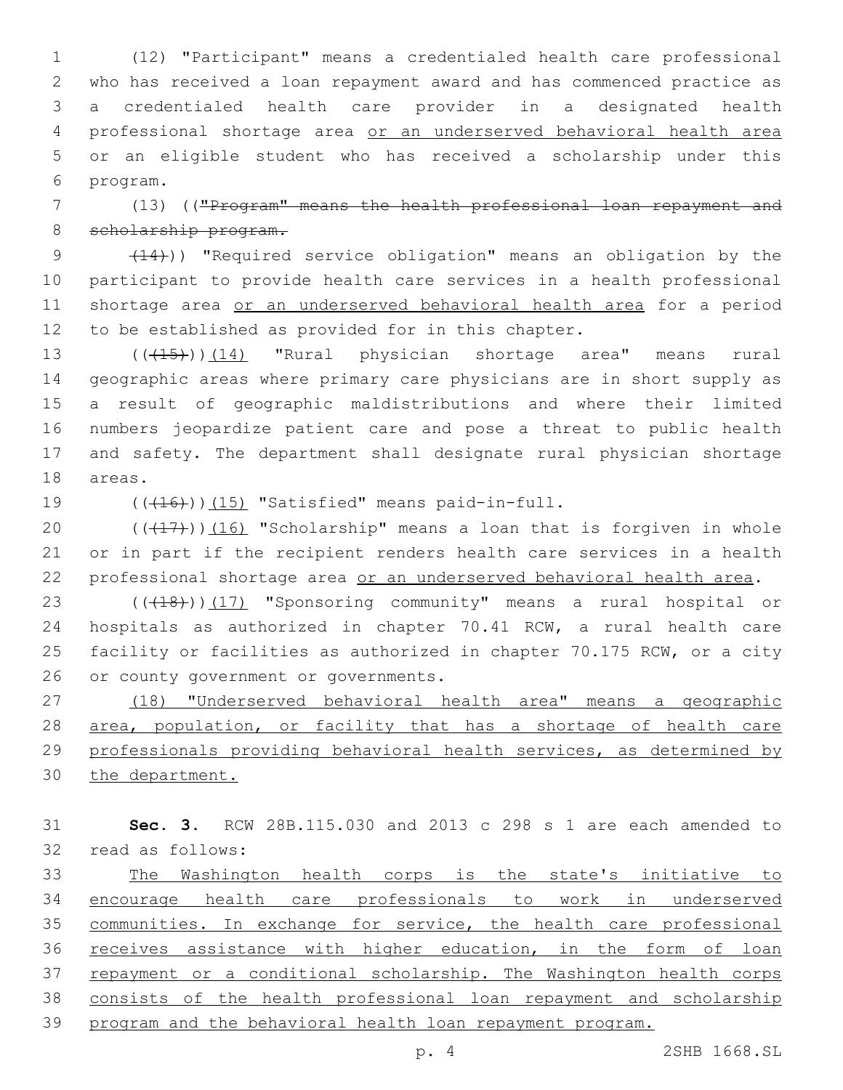(12) "Participant" means a credentialed health care professional who has received a loan repayment award and has commenced practice as a credentialed health care provider in a designated health professional shortage area or an underserved behavioral health area or an eligible student who has received a scholarship under this program.6

 (13) (("Program" means the health professional loan repayment and scholarship program.

9 (14))) "Required service obligation" means an obligation by the participant to provide health care services in a health professional 11 shortage area or an underserved behavioral health area for a period to be established as provided for in this chapter.

13 (((15)))(14) "Rural physician shortage area" means rural geographic areas where primary care physicians are in short supply as a result of geographic maldistributions and where their limited numbers jeopardize patient care and pose a threat to public health and safety. The department shall designate rural physician shortage 18 areas.

19  $((+16))$   $(15)$  "Satisfied" means paid-in-full.

20  $((+17))$   $(16)$  "Scholarship" means a loan that is forgiven in whole or in part if the recipient renders health care services in a health 22 professional shortage area or an underserved behavioral health area.

23 (((18)))(17) "Sponsoring community" means a rural hospital or hospitals as authorized in chapter 70.41 RCW, a rural health care facility or facilities as authorized in chapter 70.175 RCW, or a city 26 or county government or governments.

 (18) "Underserved behavioral health area" means a geographic 28 area, population, or facility that has a shortage of health care professionals providing behavioral health services, as determined by the department.

 **Sec. 3.** RCW 28B.115.030 and 2013 c 298 s 1 are each amended to 32 read as follows:

 The Washington health corps is the state's initiative to encourage health care professionals to work in underserved 35 communities. In exchange for service, the health care professional receives assistance with higher education, in the form of loan repayment or a conditional scholarship. The Washington health corps consists of the health professional loan repayment and scholarship program and the behavioral health loan repayment program.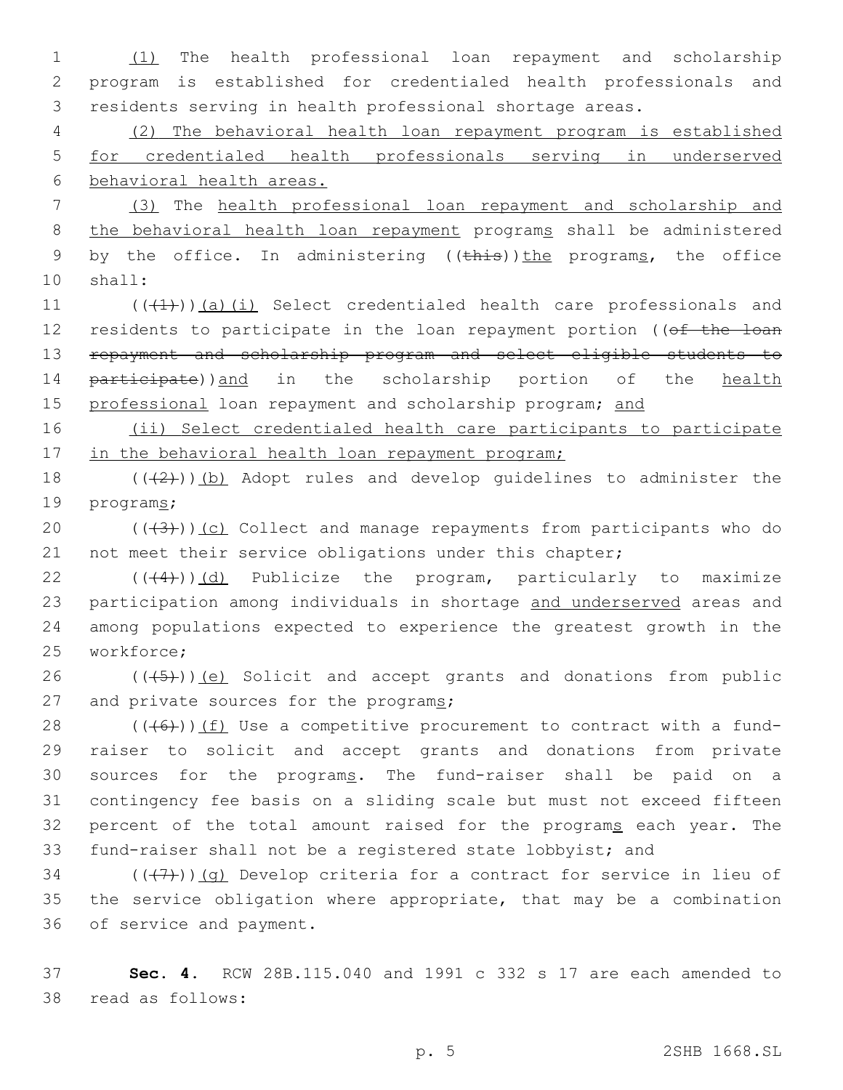1 (1) The health professional loan repayment and scholarship 2 program is established for credentialed health professionals and 3 residents serving in health professional shortage areas.

4 (2) The behavioral health loan repayment program is established 5 for credentialed health professionals serving in underserved 6 behavioral health areas.

7 (3) The health professional loan repayment and scholarship and 8 the behavioral health loan repayment programs shall be administered 9 by the office. In administering ((this))the programs, the office 10 shall:

11 (((4)))(a)(i) Select credentialed health care professionals and 12 residents to participate in the loan repayment portion ((of the loan 13 repayment and scholarship program and select eligible students to 14 participate))and in the scholarship portion of the health 15 professional loan repayment and scholarship program; and

16 (ii) Select credentialed health care participants to participate 17 in the behavioral health loan repayment program;

18  $((+2+)(6))$  (b) Adopt rules and develop quidelines to administer the 19 programs;

20  $((\langle 3 \rangle)(c)$  Collect and manage repayments from participants who do 21 not meet their service obligations under this chapter;

22 (((4)))(d) Publicize the program, particularly to maximize 23 participation among individuals in shortage and underserved areas and 24 among populations expected to experience the greatest growth in the 25 workforce;

 $26$  ( $(\overline{(+5+)})(\overline{e})$  Solicit and accept grants and donations from public 27 and private sources for the programs;

 $((+6))$  (f) Use a competitive procurement to contract with a fund- raiser to solicit and accept grants and donations from private sources for the programs. The fund-raiser shall be paid on a contingency fee basis on a sliding scale but must not exceed fifteen 32 percent of the total amount raised for the programs each year. The fund-raiser shall not be a registered state lobbyist; and

34 ( $(\overline{+7})$ )(g) Develop criteria for a contract for service in lieu of 35 the service obligation where appropriate, that may be a combination 36 of service and payment.

37 **Sec. 4.** RCW 28B.115.040 and 1991 c 332 s 17 are each amended to 38 read as follows: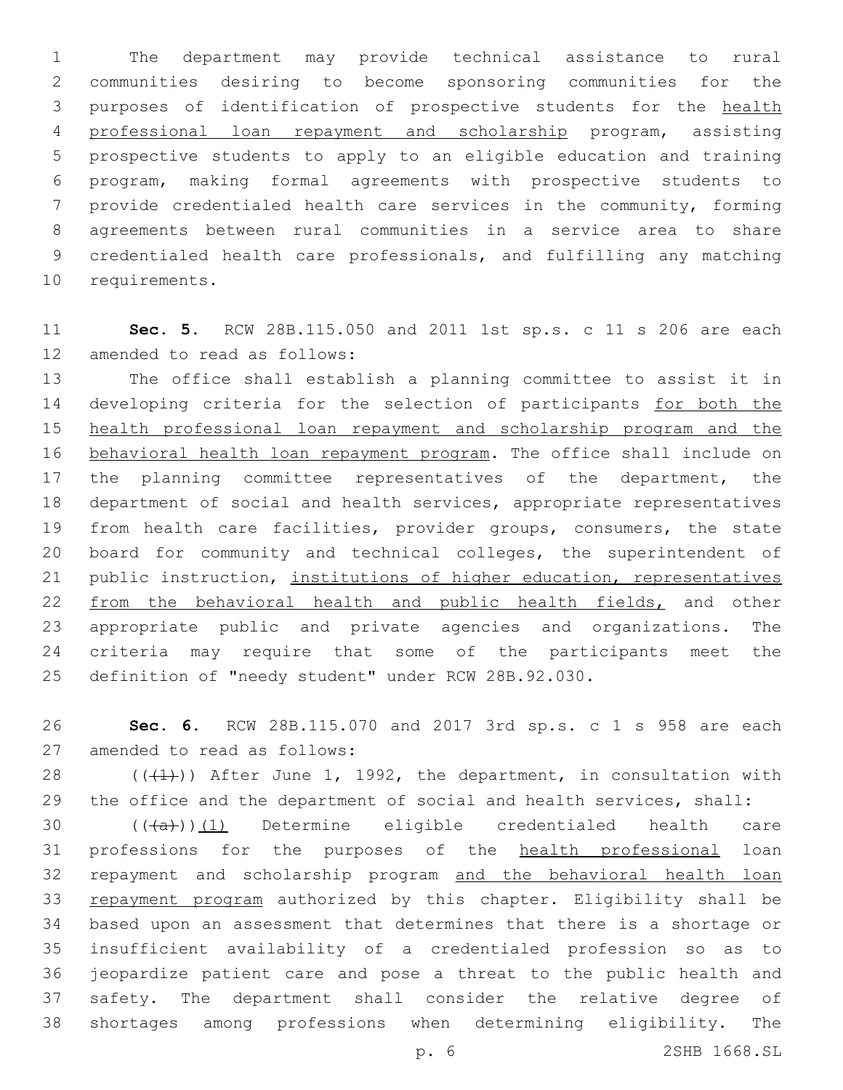The department may provide technical assistance to rural communities desiring to become sponsoring communities for the purposes of identification of prospective students for the health professional loan repayment and scholarship program, assisting prospective students to apply to an eligible education and training program, making formal agreements with prospective students to provide credentialed health care services in the community, forming agreements between rural communities in a service area to share credentialed health care professionals, and fulfilling any matching 10 requirements.

 **Sec. 5.** RCW 28B.115.050 and 2011 1st sp.s. c 11 s 206 are each 12 amended to read as follows:

 The office shall establish a planning committee to assist it in 14 developing criteria for the selection of participants for both the health professional loan repayment and scholarship program and the 16 behavioral health loan repayment program. The office shall include on the planning committee representatives of the department, the department of social and health services, appropriate representatives from health care facilities, provider groups, consumers, the state board for community and technical colleges, the superintendent of public instruction, institutions of higher education, representatives 22 from the behavioral health and public health fields, and other appropriate public and private agencies and organizations. The criteria may require that some of the participants meet the definition of "needy student" under RCW 28B.92.030.

 **Sec. 6.** RCW 28B.115.070 and 2017 3rd sp.s. c 1 s 958 are each 27 amended to read as follows:

28  $((+1))$  After June 1, 1992, the department, in consultation with the office and the department of social and health services, shall:

30 (((a)))(1) Determine eligible credentialed health care professions for the purposes of the health professional loan repayment and scholarship program and the behavioral health loan repayment program authorized by this chapter. Eligibility shall be based upon an assessment that determines that there is a shortage or insufficient availability of a credentialed profession so as to jeopardize patient care and pose a threat to the public health and safety. The department shall consider the relative degree of shortages among professions when determining eligibility. The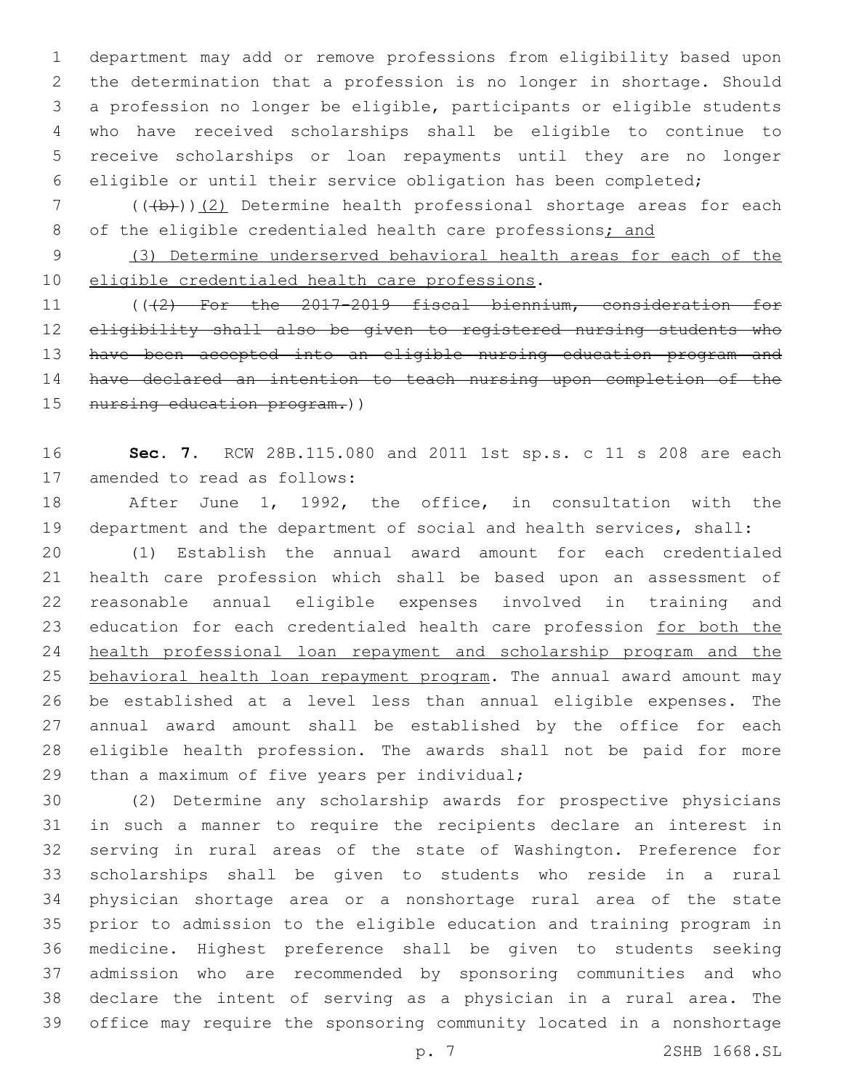department may add or remove professions from eligibility based upon the determination that a profession is no longer in shortage. Should a profession no longer be eligible, participants or eligible students who have received scholarships shall be eligible to continue to receive scholarships or loan repayments until they are no longer eligible or until their service obligation has been completed;

7 (((b))(2) Determine health professional shortage areas for each 8 of the eligible credentialed health care professions; and

 (3) Determine underserved behavioral health areas for each of the 10 eligible credentialed health care professions.

 (((2) For the 2017-2019 fiscal biennium, consideration for eligibility shall also be given to registered nursing students who have been accepted into an eligible nursing education program and have declared an intention to teach nursing upon completion of the 15 nursing education program.))

 **Sec. 7.** RCW 28B.115.080 and 2011 1st sp.s. c 11 s 208 are each 17 amended to read as follows:

 After June 1, 1992, the office, in consultation with the department and the department of social and health services, shall:

 (1) Establish the annual award amount for each credentialed health care profession which shall be based upon an assessment of reasonable annual eligible expenses involved in training and 23 education for each credentialed health care profession for both the health professional loan repayment and scholarship program and the behavioral health loan repayment program. The annual award amount may be established at a level less than annual eligible expenses. The annual award amount shall be established by the office for each eligible health profession. The awards shall not be paid for more 29 than a maximum of five years per individual;

 (2) Determine any scholarship awards for prospective physicians in such a manner to require the recipients declare an interest in serving in rural areas of the state of Washington. Preference for scholarships shall be given to students who reside in a rural physician shortage area or a nonshortage rural area of the state prior to admission to the eligible education and training program in medicine. Highest preference shall be given to students seeking admission who are recommended by sponsoring communities and who declare the intent of serving as a physician in a rural area. The office may require the sponsoring community located in a nonshortage

p. 7 2SHB 1668.SL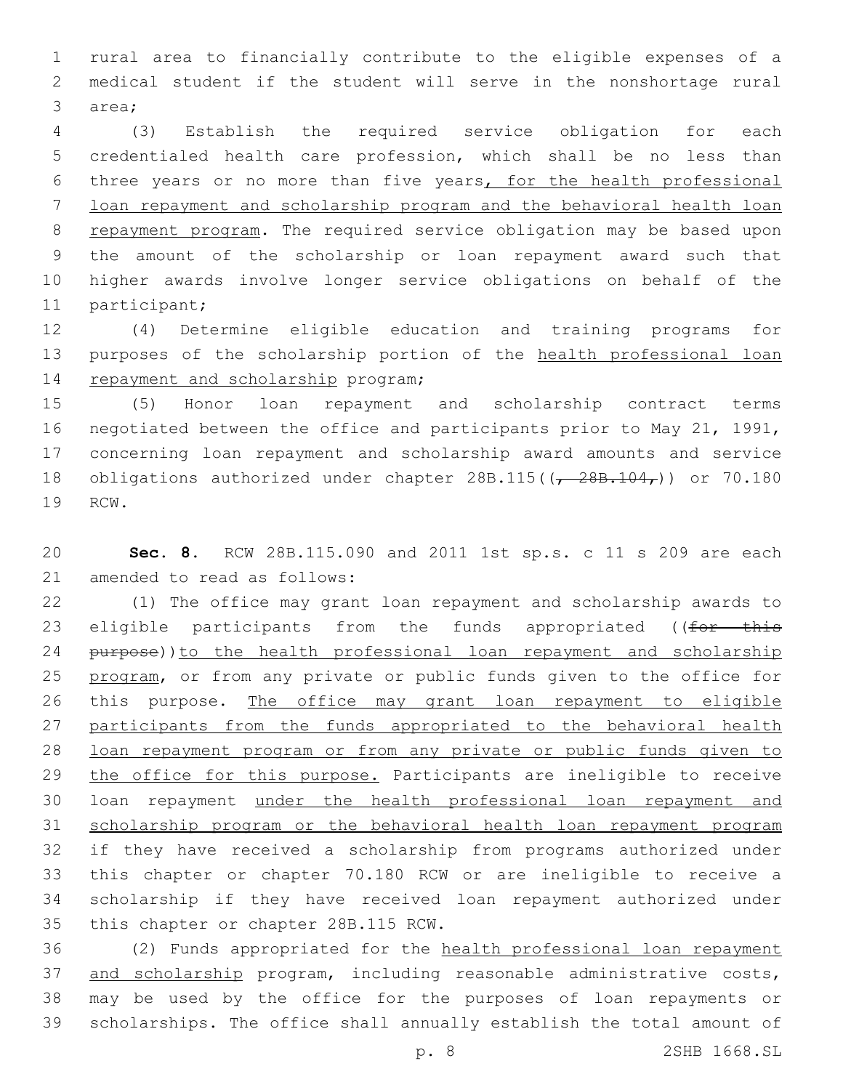rural area to financially contribute to the eligible expenses of a medical student if the student will serve in the nonshortage rural 3 area;

 (3) Establish the required service obligation for each credentialed health care profession, which shall be no less than 6 three years or no more than five years, for the health professional loan repayment and scholarship program and the behavioral health loan 8 repayment program. The required service obligation may be based upon the amount of the scholarship or loan repayment award such that higher awards involve longer service obligations on behalf of the 11 participant;

 (4) Determine eligible education and training programs for purposes of the scholarship portion of the health professional loan 14 repayment and scholarship program;

 (5) Honor loan repayment and scholarship contract terms negotiated between the office and participants prior to May 21, 1991, concerning loan repayment and scholarship award amounts and service 18 obligations authorized under chapter  $28B.115((\frac{28B.104}{\sigma})\sigma)$  or 70.180 19 RCW.

 **Sec. 8.** RCW 28B.115.090 and 2011 1st sp.s. c 11 s 209 are each 21 amended to read as follows:

 (1) The office may grant loan repayment and scholarship awards to 23 eligible participants from the funds appropriated ((for this 24 purpose)) to the health professional loan repayment and scholarship program, or from any private or public funds given to the office for this purpose. The office may grant loan repayment to eligible 27 participants from the funds appropriated to the behavioral health loan repayment program or from any private or public funds given to 29 the office for this purpose. Participants are ineligible to receive loan repayment under the health professional loan repayment and scholarship program or the behavioral health loan repayment program if they have received a scholarship from programs authorized under this chapter or chapter 70.180 RCW or are ineligible to receive a scholarship if they have received loan repayment authorized under 35 this chapter or chapter 28B.115 RCW.

 (2) Funds appropriated for the health professional loan repayment 37 and scholarship program, including reasonable administrative costs, may be used by the office for the purposes of loan repayments or scholarships. The office shall annually establish the total amount of

p. 8 2SHB 1668.SL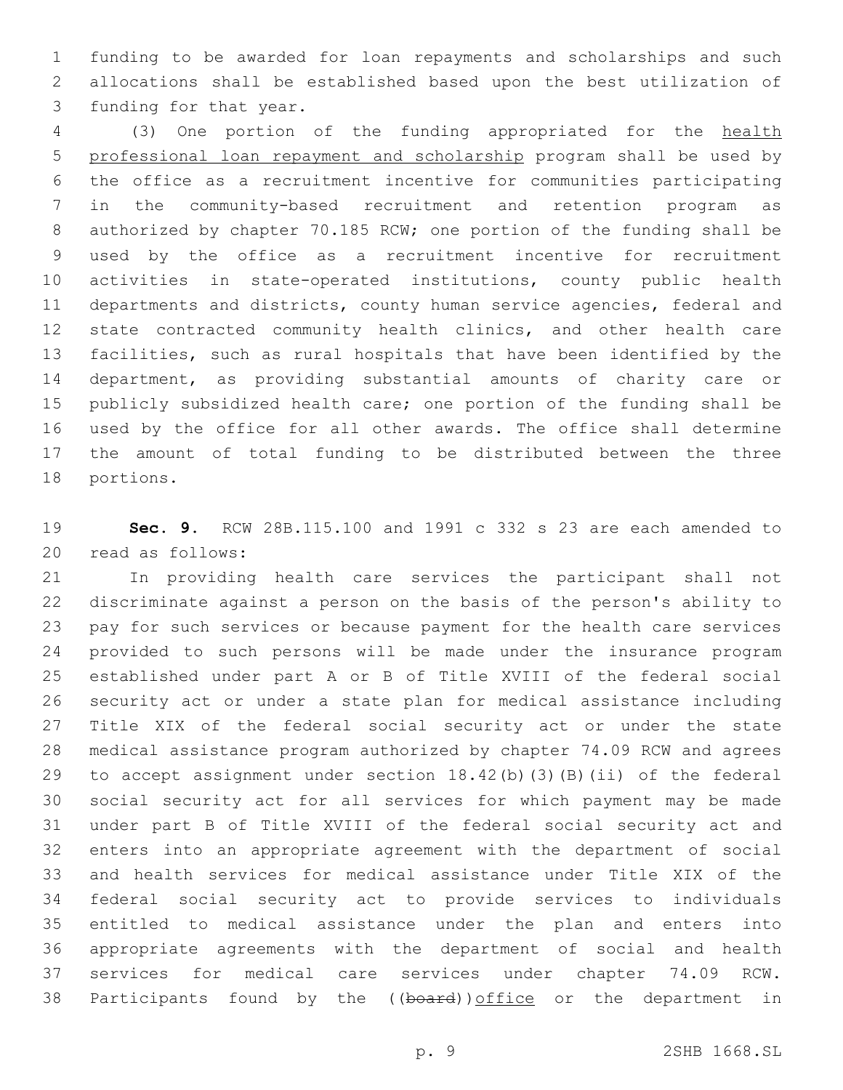funding to be awarded for loan repayments and scholarships and such allocations shall be established based upon the best utilization of 3 funding for that year.

 (3) One portion of the funding appropriated for the health professional loan repayment and scholarship program shall be used by the office as a recruitment incentive for communities participating in the community-based recruitment and retention program as authorized by chapter 70.185 RCW; one portion of the funding shall be used by the office as a recruitment incentive for recruitment activities in state-operated institutions, county public health departments and districts, county human service agencies, federal and state contracted community health clinics, and other health care facilities, such as rural hospitals that have been identified by the department, as providing substantial amounts of charity care or publicly subsidized health care; one portion of the funding shall be used by the office for all other awards. The office shall determine the amount of total funding to be distributed between the three 18 portions.

 **Sec. 9.** RCW 28B.115.100 and 1991 c 332 s 23 are each amended to 20 read as follows:

 In providing health care services the participant shall not discriminate against a person on the basis of the person's ability to pay for such services or because payment for the health care services provided to such persons will be made under the insurance program established under part A or B of Title XVIII of the federal social security act or under a state plan for medical assistance including Title XIX of the federal social security act or under the state medical assistance program authorized by chapter 74.09 RCW and agrees to accept assignment under section 18.42(b)(3)(B)(ii) of the federal social security act for all services for which payment may be made under part B of Title XVIII of the federal social security act and enters into an appropriate agreement with the department of social and health services for medical assistance under Title XIX of the federal social security act to provide services to individuals entitled to medical assistance under the plan and enters into appropriate agreements with the department of social and health services for medical care services under chapter 74.09 RCW. 38 Participants found by the ((board)) office or the department in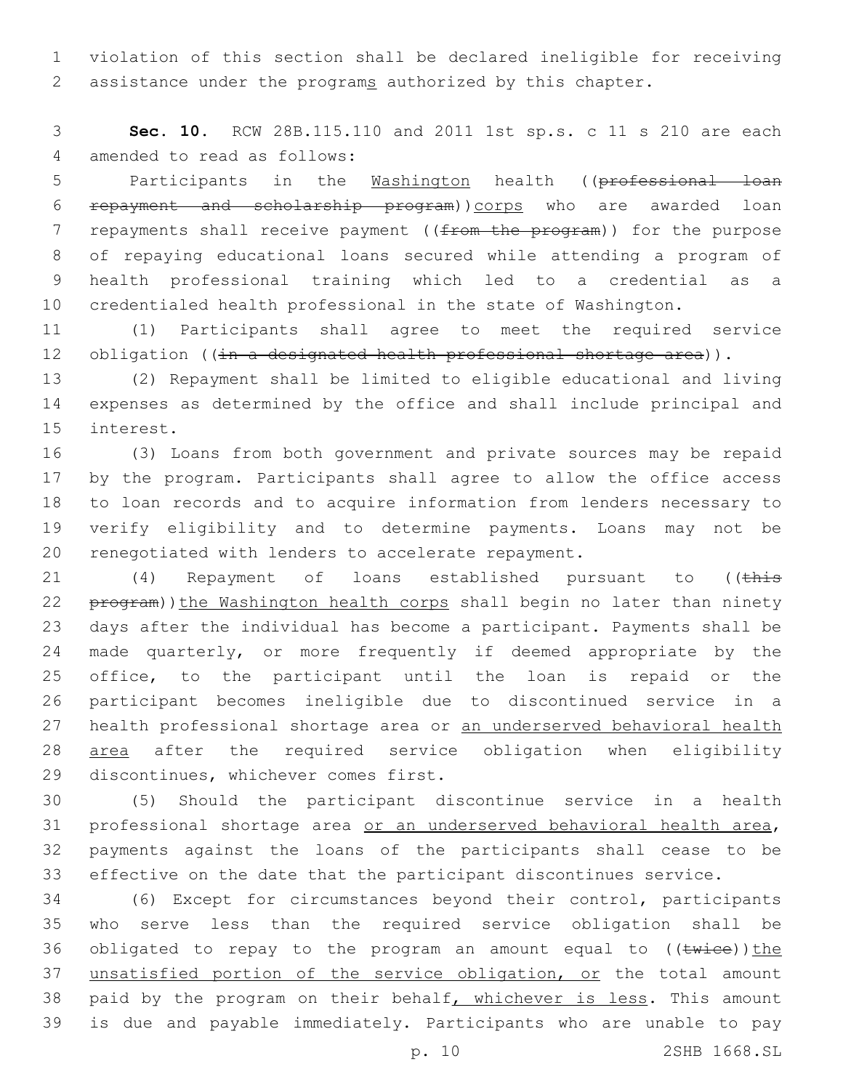violation of this section shall be declared ineligible for receiving 2 assistance under the programs authorized by this chapter.

 **Sec. 10.** RCW 28B.115.110 and 2011 1st sp.s. c 11 s 210 are each 4 amended to read as follows:

5 Participants in the Washington health ((professional loan repayment and scholarship program))corps who are awarded loan 7 repayments shall receive payment ((from the program)) for the purpose of repaying educational loans secured while attending a program of health professional training which led to a credential as a credentialed health professional in the state of Washington.

 (1) Participants shall agree to meet the required service 12 obligation ((in a designated health professional shortage area)).

 (2) Repayment shall be limited to eligible educational and living expenses as determined by the office and shall include principal and 15 interest.

 (3) Loans from both government and private sources may be repaid by the program. Participants shall agree to allow the office access to loan records and to acquire information from lenders necessary to verify eligibility and to determine payments. Loans may not be renegotiated with lenders to accelerate repayment.

21 (4) Repayment of loans established pursuant to ((this 22 program)) the Washington health corps shall begin no later than ninety days after the individual has become a participant. Payments shall be made quarterly, or more frequently if deemed appropriate by the office, to the participant until the loan is repaid or the participant becomes ineligible due to discontinued service in a 27 health professional shortage area or an underserved behavioral health area after the required service obligation when eligibility 29 discontinues, whichever comes first.

 (5) Should the participant discontinue service in a health 31 professional shortage area or an underserved behavioral health area, payments against the loans of the participants shall cease to be effective on the date that the participant discontinues service.

 (6) Except for circumstances beyond their control, participants who serve less than the required service obligation shall be 36 obligated to repay to the program an amount equal to  $((t \text{wice}))$  the 37 unsatisfied portion of the service obligation, or the total amount 38 paid by the program on their behalf, whichever is less. This amount is due and payable immediately. Participants who are unable to pay

p. 10 2SHB 1668.SL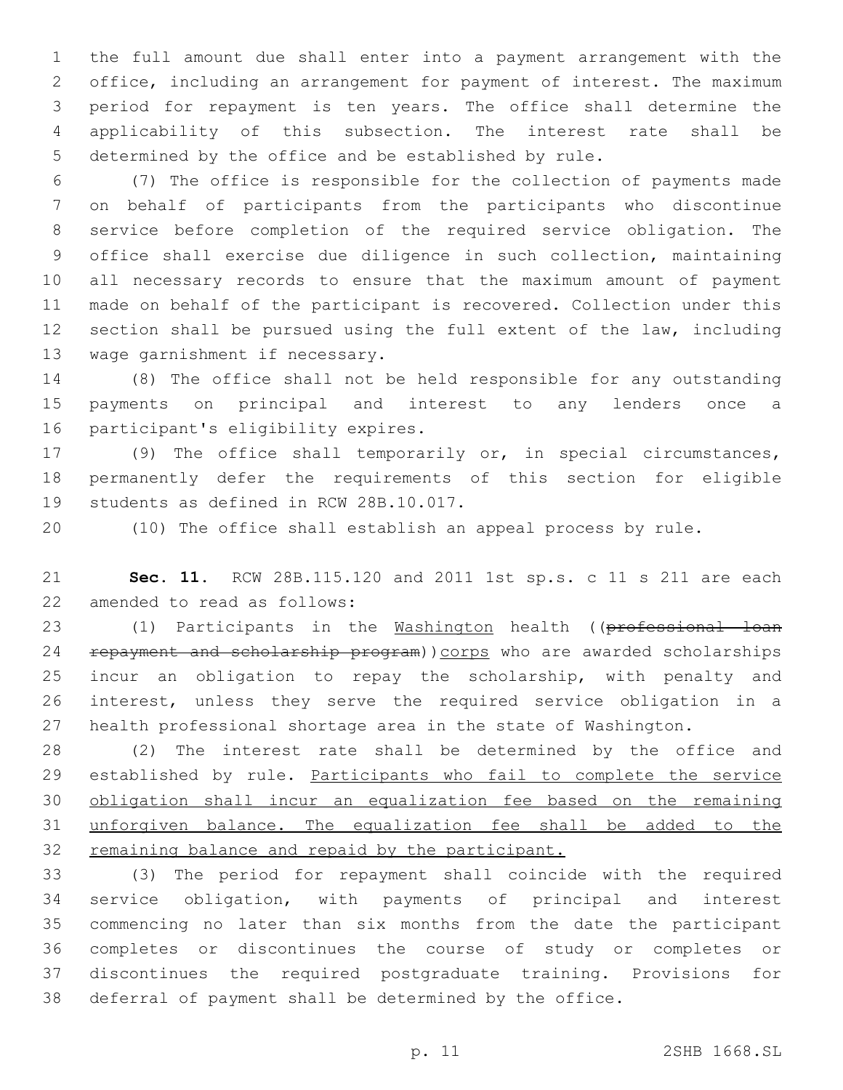the full amount due shall enter into a payment arrangement with the office, including an arrangement for payment of interest. The maximum period for repayment is ten years. The office shall determine the applicability of this subsection. The interest rate shall be determined by the office and be established by rule.

 (7) The office is responsible for the collection of payments made on behalf of participants from the participants who discontinue service before completion of the required service obligation. The office shall exercise due diligence in such collection, maintaining all necessary records to ensure that the maximum amount of payment made on behalf of the participant is recovered. Collection under this section shall be pursued using the full extent of the law, including 13 wage garnishment if necessary.

 (8) The office shall not be held responsible for any outstanding payments on principal and interest to any lenders once a 16 participant's eligibility expires.

 (9) The office shall temporarily or, in special circumstances, permanently defer the requirements of this section for eligible 19 students as defined in RCW 28B.10.017.

(10) The office shall establish an appeal process by rule.

 **Sec. 11.** RCW 28B.115.120 and 2011 1st sp.s. c 11 s 211 are each 22 amended to read as follows:

 (1) Participants in the Washington health ((professional loan 24 repayment and scholarship program)) corps who are awarded scholarships incur an obligation to repay the scholarship, with penalty and interest, unless they serve the required service obligation in a health professional shortage area in the state of Washington.

 (2) The interest rate shall be determined by the office and 29 established by rule. Participants who fail to complete the service obligation shall incur an equalization fee based on the remaining unforgiven balance. The equalization fee shall be added to the 32 remaining balance and repaid by the participant.

 (3) The period for repayment shall coincide with the required service obligation, with payments of principal and interest commencing no later than six months from the date the participant completes or discontinues the course of study or completes or discontinues the required postgraduate training. Provisions for deferral of payment shall be determined by the office.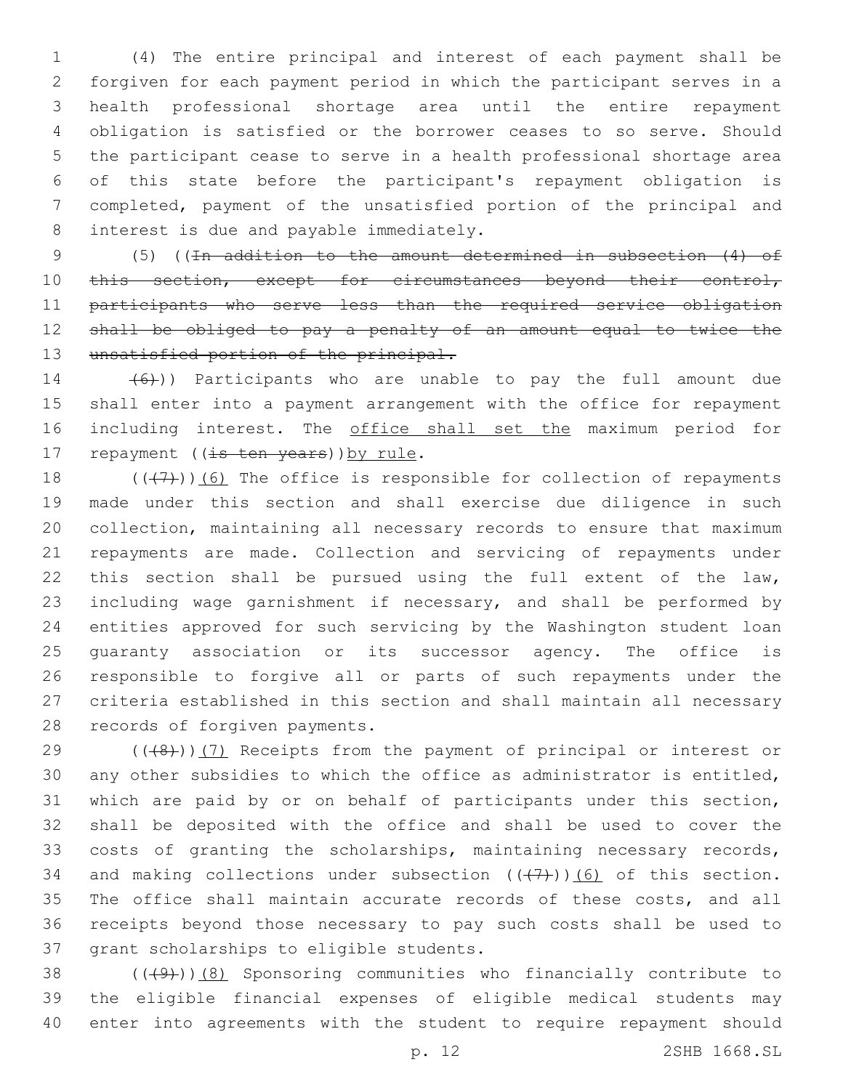(4) The entire principal and interest of each payment shall be forgiven for each payment period in which the participant serves in a health professional shortage area until the entire repayment obligation is satisfied or the borrower ceases to so serve. Should the participant cease to serve in a health professional shortage area of this state before the participant's repayment obligation is completed, payment of the unsatisfied portion of the principal and 8 interest is due and payable immediately.

 (5) ((In addition to the amount determined in subsection (4) of 10 this section, except for circumstances beyond their control, 11 participants who serve less than the required service obligation shall be obliged to pay a penalty of an amount equal to twice the unsatisfied portion of the principal.

14  $(6)$ )) Participants who are unable to pay the full amount due shall enter into a payment arrangement with the office for repayment 16 including interest. The office shall set the maximum period for 17 repayment ((is ten years)) by rule.

 $((+7+))$  (6) The office is responsible for collection of repayments made under this section and shall exercise due diligence in such collection, maintaining all necessary records to ensure that maximum repayments are made. Collection and servicing of repayments under this section shall be pursued using the full extent of the law, including wage garnishment if necessary, and shall be performed by entities approved for such servicing by the Washington student loan guaranty association or its successor agency. The office is responsible to forgive all or parts of such repayments under the criteria established in this section and shall maintain all necessary 28 records of forgiven payments.

 $(1+8)$  (( $(1+8)$ ))(7) Receipts from the payment of principal or interest or any other subsidies to which the office as administrator is entitled, which are paid by or on behalf of participants under this section, shall be deposited with the office and shall be used to cover the 33 costs of granting the scholarships, maintaining necessary records, 34 and making collections under subsection  $((+7))$  (6) of this section. The office shall maintain accurate records of these costs, and all receipts beyond those necessary to pay such costs shall be used to 37 grant scholarships to eligible students.

38  $((+9))(8)$  Sponsoring communities who financially contribute to the eligible financial expenses of eligible medical students may enter into agreements with the student to require repayment should